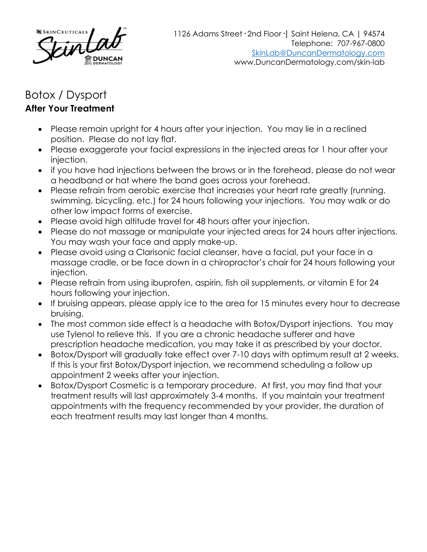

## Botox / Dysport **After Your Treatment**

- Please remain upright for 4 hours after your injection. You may lie in a reclined position. Please do not lay flat.
- Please exaggerate your facial expressions in the injected areas for 1 hour after your injection.
- if you have had injections between the brows or in the forehead, please do not wear a headband or hat where the band goes across your forehead.
- Please refrain from aerobic exercise that increases your heart rate greatly (running, swimming, bicycling, etc.) for 24 hours following your injections. You may walk or do other low impact forms of exercise.
- Please avoid high altitude travel for 48 hours after your injection.
- Please do not massage or manipulate your injected areas for 24 hours after injections. You may wash your face and apply make-up.
- Please avoid using a Clarisonic facial cleanser, have a facial, put your face in a massage cradle, or be face down in a chiropractor's chair for 24 hours following your injection.
- Please refrain from using ibuprofen, aspirin, fish oil supplements, or vitamin E for 24 hours following your injection.
- If bruising appears, please apply ice to the area for 15 minutes every hour to decrease bruising.
- The most common side effect is a headache with Botox/Dysport injections. You may use Tylenol to relieve this. If you are a chronic headache sufferer and have prescription headache medication, you may take it as prescribed by your doctor.
- Botox/Dysport will gradually take effect over 7-10 days with optimum result at 2 weeks. If this is your first Botox/Dysport injection, we recommend scheduling a follow up appointment 2 weeks after your injection.
- Botox/Dysport Cosmetic is a temporary procedure. At first, you may find that your treatment results will last approximately 3-4 months. If you maintain your treatment appointments with the frequency recommended by your provider, the duration of each treatment results may last longer than 4 months.